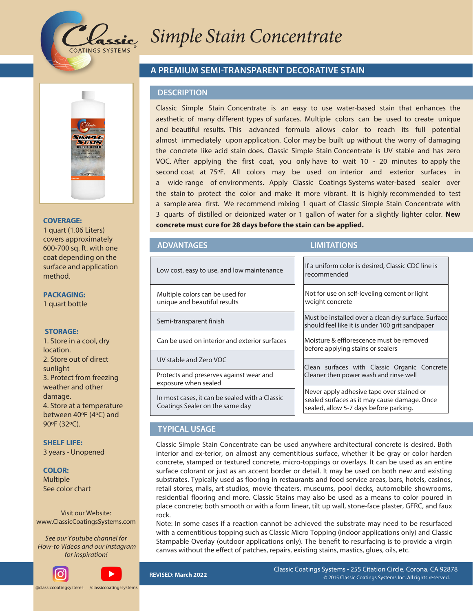

# **/ BOP\*OGVTFE\$PODFOUSBUF**

## **A PREMIUM SEMI-TRANSPARENT DECORATIVE STAIN**

#### **DESCRIPTION**

Classic Nano Infused Concentrate is an easy to use water-based stain that enhances the aesthetic of many different types of surfaces. Multiple colors can be used to create unique and beautiful results. This advanced formula allows color to reach its full potential almost immediately upon application. Color may be built up without the worry of damaging the concrete like acid stain does. Classic Nano Infused Concentrate is UV stable and has zero VOC. After applying the first coat, you only have to wait 10 - 20 minutes to apply the second coat at 75ºF. All colors may be used on interior and exterior surfaces in a wide range of environments. Apply a Classic Coatings Systems water-based sealer over the stain to protect the color and make it more vibrant. It is highly recommended to test a sample area first. We recommend mixing 1 quart of Classic Nano Infused Concentrate with 3 quarts of distilled or deionized water or 1 gallon of water for a slightly lighter color. **New concrete must cure for 28 days before the stain can be applied.**

#### Protects and preserves against wear and exposure when sealed Multiple colors can be used for unique and beautiful results Semi-transparent finish Can be used on interior and exterior surfaces UV stable and Zero VOC Low cost, easy to use, and low maintenance If a uniform color is desired, Classic CDC line is recommended Not for use on self-leveling cement or light weight concrete Must be installed over a clean dry surface. Surface should feel like it is under 100 grit sandpaper Moisture & efflorescence must be removed before applying stains or sealers Clean surfaces with Classic Super Eco-Etch

In most cases, it can be sealed with a Classic Coatings Sealer on the same day

# Cleaner then power wash and rinse well Never apply adhesive tape over stained or

sealed surfaces as it may cause damage. Once sealed, allow 5-7 days before parking

# **TYPICAL USAGE**

Classic Nano Infused Concentrate can be used anywhere architectural concrete is desired. Both interior and ex-terior, on almost any cementitious surface, whether it be gray or color harden concrete, stamped or textured concrete, micro-toppings or overlays. It can be used as an entire surface colorant or just as an accent border or detail. It may be used on both new and existing substrates. Typically used as flooring in restaurants and food service areas, bars, hotels, casinos, retail stores, malls, art studios, movie theaters, museums, pool decks, automobile showrooms, residential flooring and more. Classic Stains may also be used as a means to color poured in place concrete; both smooth or with a form linear, tilt up wall, stoneface plaster, GFRC, and faux rock.

Note: In some cases if a reaction cannot be achieved the substrate may need to be resurfaced with a cementitious topping such as Classic Micro Topping (indoor applications only) and Classic Stampable Overlay (outdoor applications only). The benefit to resurfacing is to provide a virgin canvas without the effect of patches, repairs, existing stains, mastics, glues, oils, etc.

**REVISED: +BOVBSZ 2022**

**ADVANTAGES LIMITATIONS**

**PACKAGING:**

method.

**COVERAGE:** 1 quart (1.06 Liters) covers approximately 600-700 sq. ft. with one coat depending on the surface and application

1 quart bottle

#### **STORAGE:**

1. Store in a cool, dry location. 2. Store out of direct sunlight 3. Protect from freezing weather and other damage. 4. Store at a temperature between 40ºF (4ºC) and 90ºF (32ºC).

**SHELF LIFE:** 3 years - Unopened

#### **COLOR:**

Multiple See color chart

Visit our Website: www.ClassicCoatingsSystems.com

*See* o*ur* Youtube channel for  *How-to Videos* and our Instagram for inspiration!